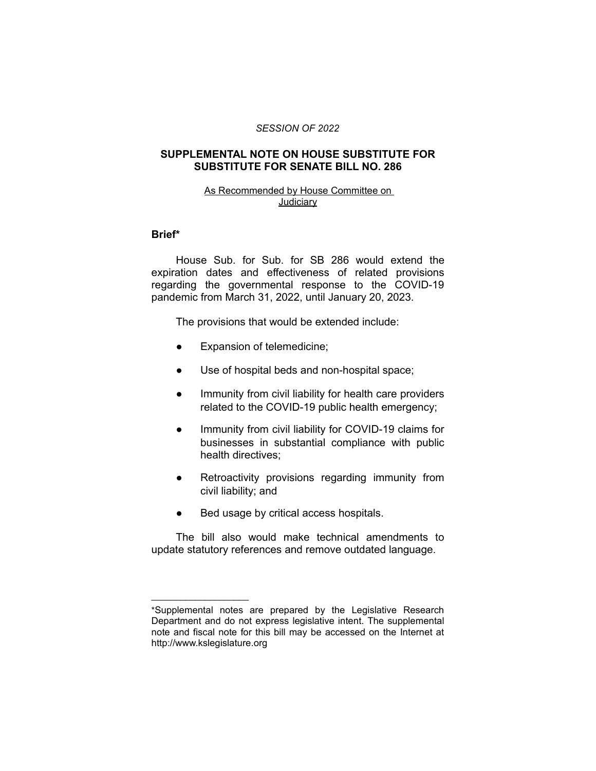### *SESSION OF 2022*

# **SUPPLEMENTAL NOTE ON HOUSE SUBSTITUTE FOR SUBSTITUTE FOR SENATE BILL NO. 286**

# As Recommended by House Committee on **Judiciary**

### **Brief\***

House Sub. for Sub. for SB 286 would extend the expiration dates and effectiveness of related provisions regarding the governmental response to the COVID-19 pandemic from March 31, 2022, until January 20, 2023.

The provisions that would be extended include:

- Expansion of telemedicine;
- Use of hospital beds and non-hospital space;
- Immunity from civil liability for health care providers related to the COVID-19 public health emergency;
- Immunity from civil liability for COVID-19 claims for businesses in substantial compliance with public health directives;
- Retroactivity provisions regarding immunity from civil liability; and
- Bed usage by critical access hospitals.

 $\overline{\phantom{a}}$  , where  $\overline{\phantom{a}}$  , where  $\overline{\phantom{a}}$ 

The bill also would make technical amendments to update statutory references and remove outdated language.

<sup>\*</sup>Supplemental notes are prepared by the Legislative Research Department and do not express legislative intent. The supplemental note and fiscal note for this bill may be accessed on the Internet at http://www.kslegislature.org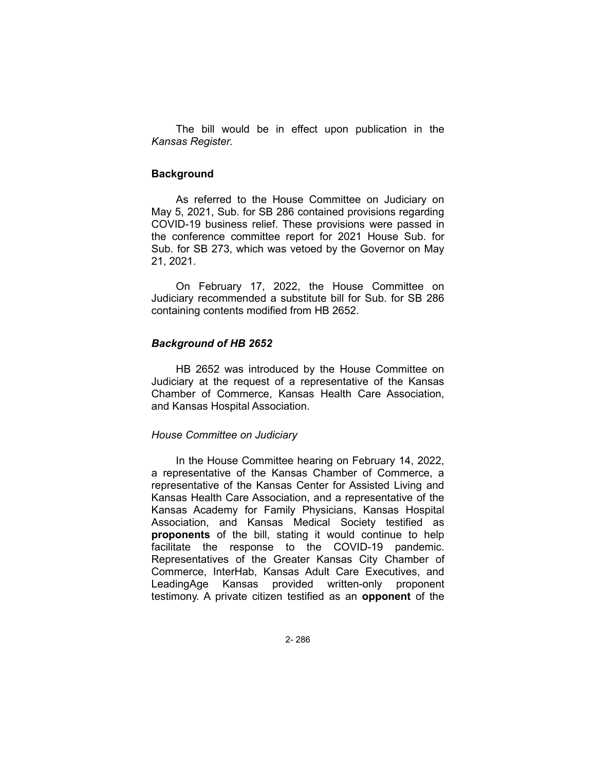The bill would be in effect upon publication in the *Kansas Register*.

# **Background**

As referred to the House Committee on Judiciary on May 5, 2021, Sub. for SB 286 contained provisions regarding COVID-19 business relief. These provisions were passed in the conference committee report for 2021 House Sub. for Sub. for SB 273, which was vetoed by the Governor on May 21, 2021.

On February 17, 2022, the House Committee on Judiciary recommended a substitute bill for Sub. for SB 286 containing contents modified from HB 2652.

# *Background of HB 2652*

HB 2652 was introduced by the House Committee on Judiciary at the request of a representative of the Kansas Chamber of Commerce, Kansas Health Care Association, and Kansas Hospital Association.

### *House Committee on Judiciary*

In the House Committee hearing on February 14, 2022, a representative of the Kansas Chamber of Commerce, a representative of the Kansas Center for Assisted Living and Kansas Health Care Association, and a representative of the Kansas Academy for Family Physicians, Kansas Hospital Association, and Kansas Medical Society testified as **proponents** of the bill, stating it would continue to help facilitate the response to the COVID-19 pandemic. Representatives of the Greater Kansas City Chamber of Commerce, InterHab, Kansas Adult Care Executives, and LeadingAge Kansas provided written-only proponent testimony. A private citizen testified as an **opponent** of the